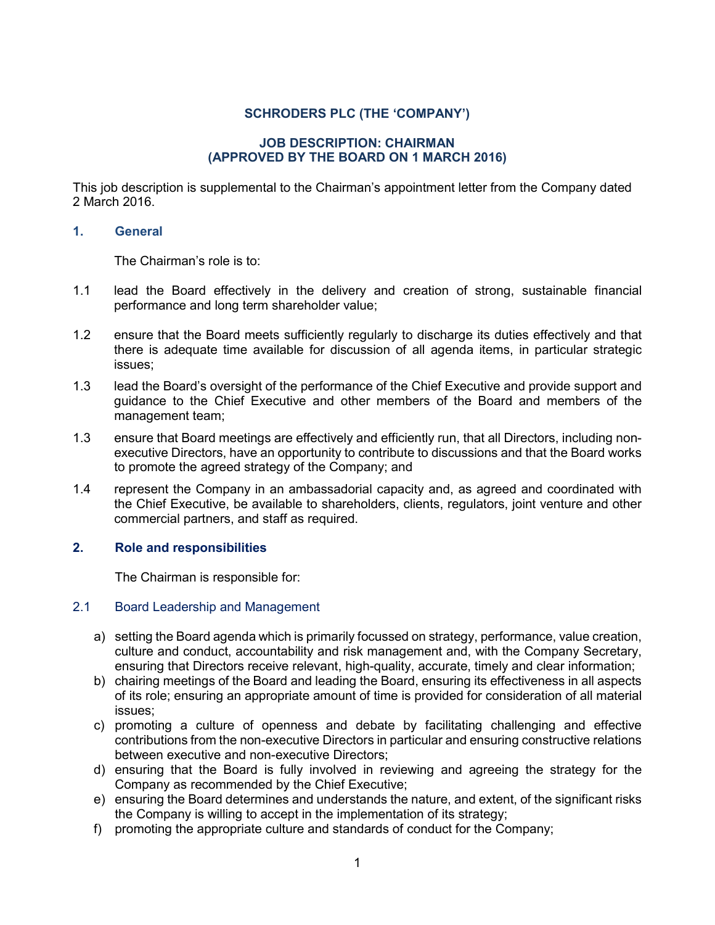# **SCHRODERS PLC (THE 'COMPANY')**

### **JOB DESCRIPTION: CHAIRMAN (APPROVED BY THE BOARD ON 1 MARCH 2016)**

This job description is supplemental to the Chairman's appointment letter from the Company dated 2 March 2016.

### **1. General**

The Chairman's role is to:

- 1.1 lead the Board effectively in the delivery and creation of strong, sustainable financial performance and long term shareholder value;
- 1.2 ensure that the Board meets sufficiently regularly to discharge its duties effectively and that there is adequate time available for discussion of all agenda items, in particular strategic issues;
- 1.3 lead the Board's oversight of the performance of the Chief Executive and provide support and guidance to the Chief Executive and other members of the Board and members of the management team;
- 1.3 ensure that Board meetings are effectively and efficiently run, that all Directors, including nonexecutive Directors, have an opportunity to contribute to discussions and that the Board works to promote the agreed strategy of the Company; and
- 1.4 represent the Company in an ambassadorial capacity and, as agreed and coordinated with the Chief Executive, be available to shareholders, clients, regulators, joint venture and other commercial partners, and staff as required.

## **2. Role and responsibilities**

The Chairman is responsible for:

# 2.1 Board Leadership and Management

- a) setting the Board agenda which is primarily focussed on strategy, performance, value creation, culture and conduct, accountability and risk management and, with the Company Secretary, ensuring that Directors receive relevant, high-quality, accurate, timely and clear information;
- b) chairing meetings of the Board and leading the Board, ensuring its effectiveness in all aspects of its role; ensuring an appropriate amount of time is provided for consideration of all material issues;
- c) promoting a culture of openness and debate by facilitating challenging and effective contributions from the non-executive Directors in particular and ensuring constructive relations between executive and non-executive Directors;
- d) ensuring that the Board is fully involved in reviewing and agreeing the strategy for the Company as recommended by the Chief Executive;
- e) ensuring the Board determines and understands the nature, and extent, of the significant risks the Company is willing to accept in the implementation of its strategy;
- f) promoting the appropriate culture and standards of conduct for the Company;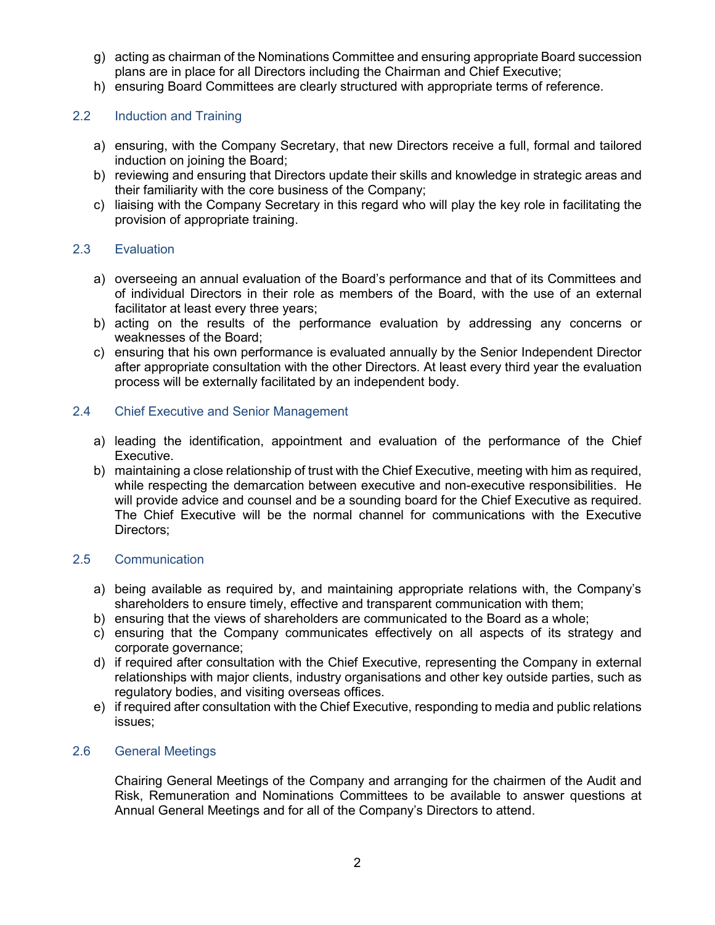- g) acting as chairman of the Nominations Committee and ensuring appropriate Board succession plans are in place for all Directors including the Chairman and Chief Executive;
- h) ensuring Board Committees are clearly structured with appropriate terms of reference.

# 2.2 Induction and Training

- a) ensuring, with the Company Secretary, that new Directors receive a full, formal and tailored induction on joining the Board;
- b) reviewing and ensuring that Directors update their skills and knowledge in strategic areas and their familiarity with the core business of the Company;
- c) liaising with the Company Secretary in this regard who will play the key role in facilitating the provision of appropriate training.

#### 2.3 Evaluation

- a) overseeing an annual evaluation of the Board's performance and that of its Committees and of individual Directors in their role as members of the Board, with the use of an external facilitator at least every three years;
- b) acting on the results of the performance evaluation by addressing any concerns or weaknesses of the Board;
- c) ensuring that his own performance is evaluated annually by the Senior Independent Director after appropriate consultation with the other Directors. At least every third year the evaluation process will be externally facilitated by an independent body.

#### 2.4 Chief Executive and Senior Management

- a) leading the identification, appointment and evaluation of the performance of the Chief Executive.
- b) maintaining a close relationship of trust with the Chief Executive, meeting with him as required, while respecting the demarcation between executive and non-executive responsibilities. He will provide advice and counsel and be a sounding board for the Chief Executive as required. The Chief Executive will be the normal channel for communications with the Executive Directors;

### 2.5 Communication

- a) being available as required by, and maintaining appropriate relations with, the Company's shareholders to ensure timely, effective and transparent communication with them;
- b) ensuring that the views of shareholders are communicated to the Board as a whole;
- c) ensuring that the Company communicates effectively on all aspects of its strategy and corporate governance;
- d) if required after consultation with the Chief Executive, representing the Company in external relationships with major clients, industry organisations and other key outside parties, such as regulatory bodies, and visiting overseas offices.
- e) if required after consultation with the Chief Executive, responding to media and public relations issues;

### 2.6 General Meetings

Chairing General Meetings of the Company and arranging for the chairmen of the Audit and Risk, Remuneration and Nominations Committees to be available to answer questions at Annual General Meetings and for all of the Company's Directors to attend.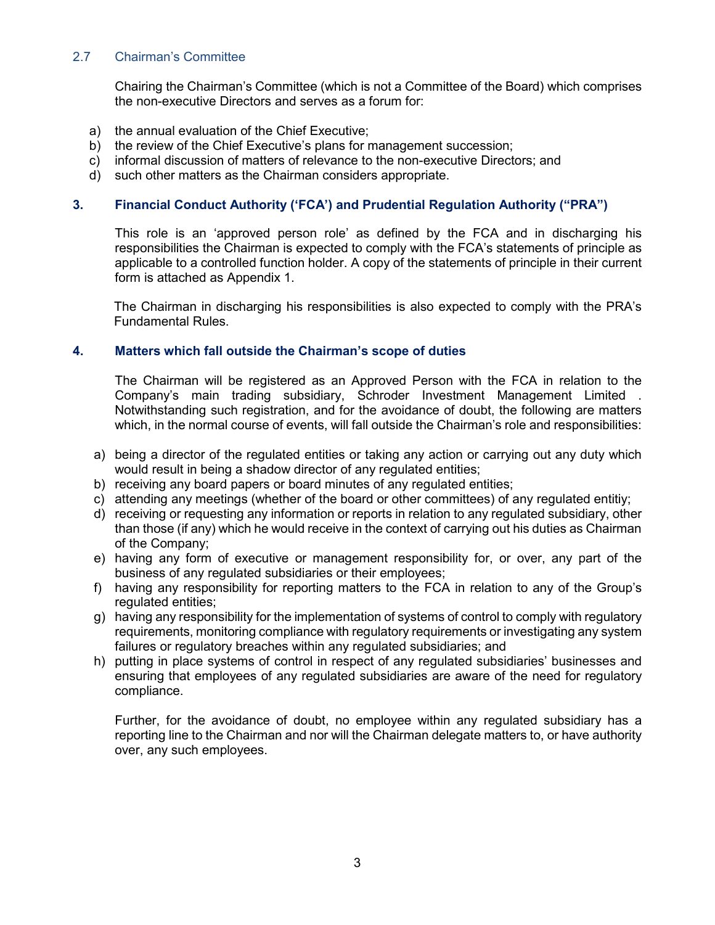# 2.7 Chairman's Committee

Chairing the Chairman's Committee (which is not a Committee of the Board) which comprises the non-executive Directors and serves as a forum for:

- a) the annual evaluation of the Chief Executive;
- b) the review of the Chief Executive's plans for management succession;
- c) informal discussion of matters of relevance to the non-executive Directors; and
- d) such other matters as the Chairman considers appropriate.

# **3. Financial Conduct Authority ('FCA') and Prudential Regulation Authority ("PRA")**

This role is an 'approved person role' as defined by the FCA and in discharging his responsibilities the Chairman is expected to comply with the FCA's statements of principle as applicable to a controlled function holder. A copy of the statements of principle in their current form is attached as Appendix 1.

The Chairman in discharging his responsibilities is also expected to comply with the PRA's Fundamental Rules.

## **4. Matters which fall outside the Chairman's scope of duties**

The Chairman will be registered as an Approved Person with the FCA in relation to the Company's main trading subsidiary, Schroder Investment Management Limited . Notwithstanding such registration, and for the avoidance of doubt, the following are matters which, in the normal course of events, will fall outside the Chairman's role and responsibilities:

- a) being a director of the regulated entities or taking any action or carrying out any duty which would result in being a shadow director of any regulated entities;
- b) receiving any board papers or board minutes of any regulated entities;
- c) attending any meetings (whether of the board or other committees) of any regulated entitiy;
- d) receiving or requesting any information or reports in relation to any regulated subsidiary, other than those (if any) which he would receive in the context of carrying out his duties as Chairman of the Company;
- e) having any form of executive or management responsibility for, or over, any part of the business of any regulated subsidiaries or their employees;
- f) having any responsibility for reporting matters to the FCA in relation to any of the Group's regulated entities;
- g) having any responsibility for the implementation of systems of control to comply with regulatory requirements, monitoring compliance with regulatory requirements or investigating any system failures or regulatory breaches within any regulated subsidiaries; and
- h) putting in place systems of control in respect of any regulated subsidiaries' businesses and ensuring that employees of any regulated subsidiaries are aware of the need for regulatory compliance.

Further, for the avoidance of doubt, no employee within any regulated subsidiary has a reporting line to the Chairman and nor will the Chairman delegate matters to, or have authority over, any such employees.